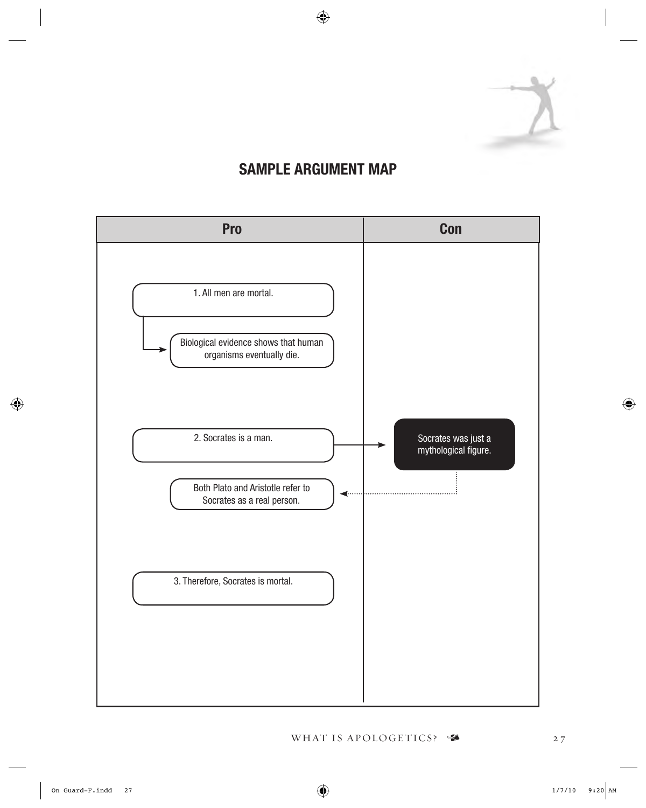

#### SAMPLE ARGUMENT MAP

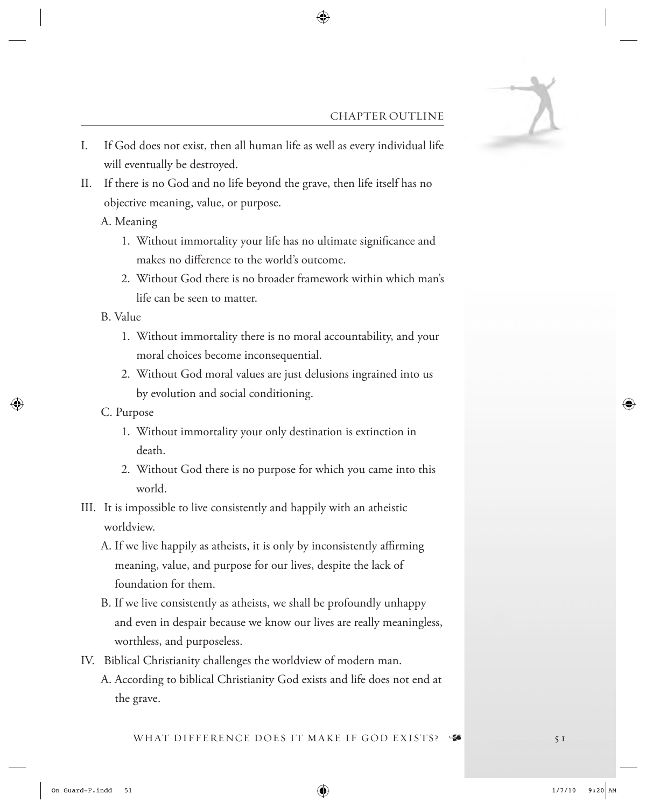

#### CHAPTER OUTLINE

- I. If God does not exist, then all human life as well as every individual life will eventually be destroyed.
- II. If there is no God and no life beyond the grave, then life itself has no objective meaning, value, or purpose.
	- A. Meaning
		- 1. Without immortality your life has no ultimate signifcance and makes no diference to the world's outcome.
		- 2. Without God there is no broader framework within which man's life can be seen to matter.
	- B. Value
		- 1. Without immortality there is no moral accountability, and your moral choices become inconsequential.
		- 2. Without God moral values are just delusions ingrained into us by evolution and social conditioning.
	- C. Purpose
		- 1. Without immortality your only destination is extinction in death.
		- 2. Without God there is no purpose for which you came into this world.
- III. It is impossible to live consistently and happily with an atheistic worldview.
	- A. If we live happily as atheists, it is only by inconsistently affirming meaning, value, and purpose for our lives, despite the lack of foundation for them.
	- B. If we live consistently as atheists, we shall be profoundly unhappy and even in despair because we know our lives are really meaningless, worthless, and purposeless.
- IV. Biblical Christianity challenges the worldview of modern man.
	- A. According to biblical Christianity God exists and life does not end at the grave.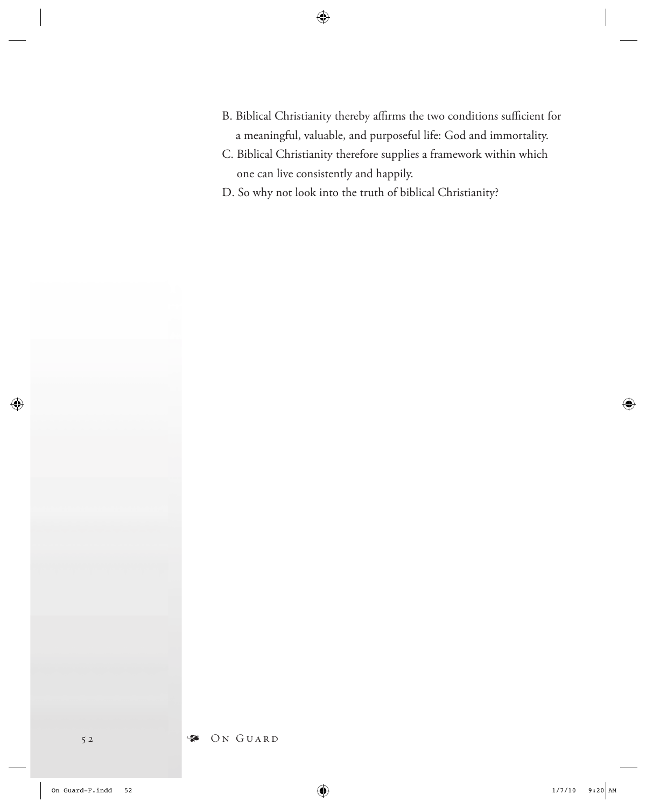- B. Biblical Christianity thereby affirms the two conditions sufficient for a meaningful, valuable, and purposeful life: God and immortality.
- C. Biblical Christianity therefore supplies a framework within which one can live consistently and happily.
- D. So why not look into the truth of biblical Christianity?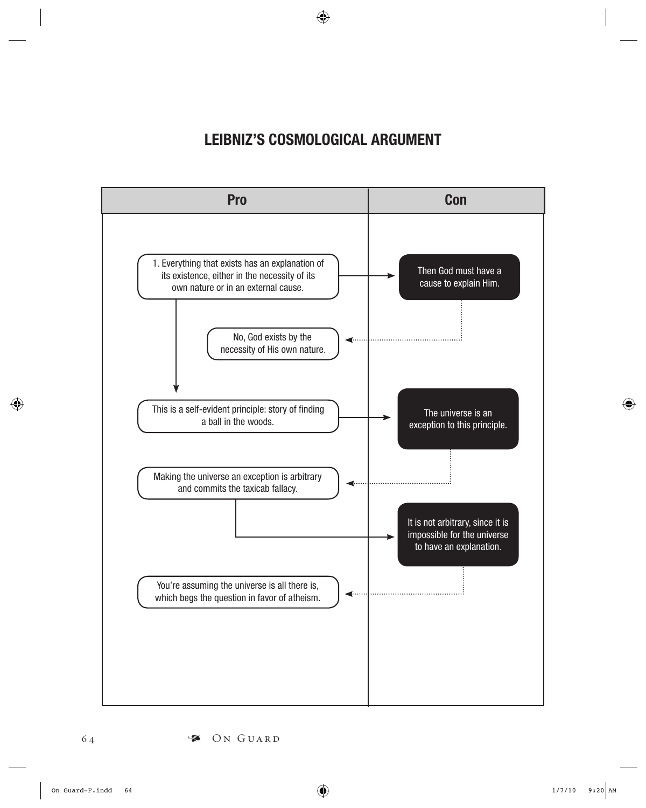# LEIBNIZ'S COSMOLOGICAL ARGUMENT

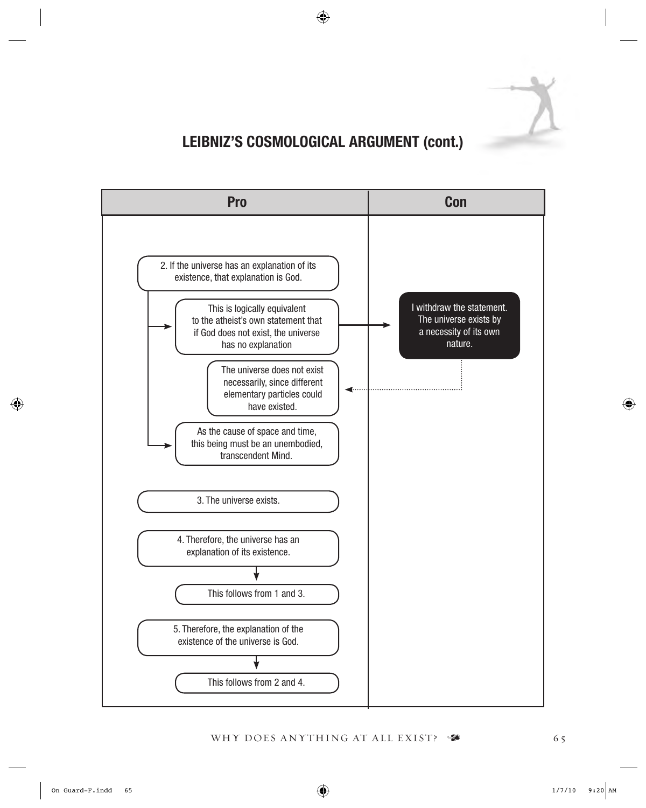

# LEIBNIZ'S COSMOLOGICAL ARGUMENT (cont.)

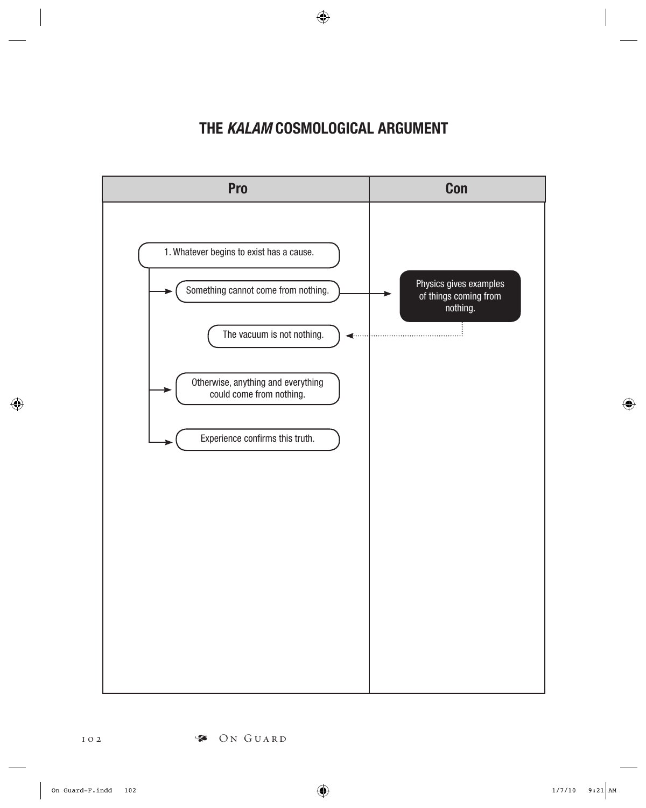# THE *KALAM* COSMOLOGICAL ARGUMENT

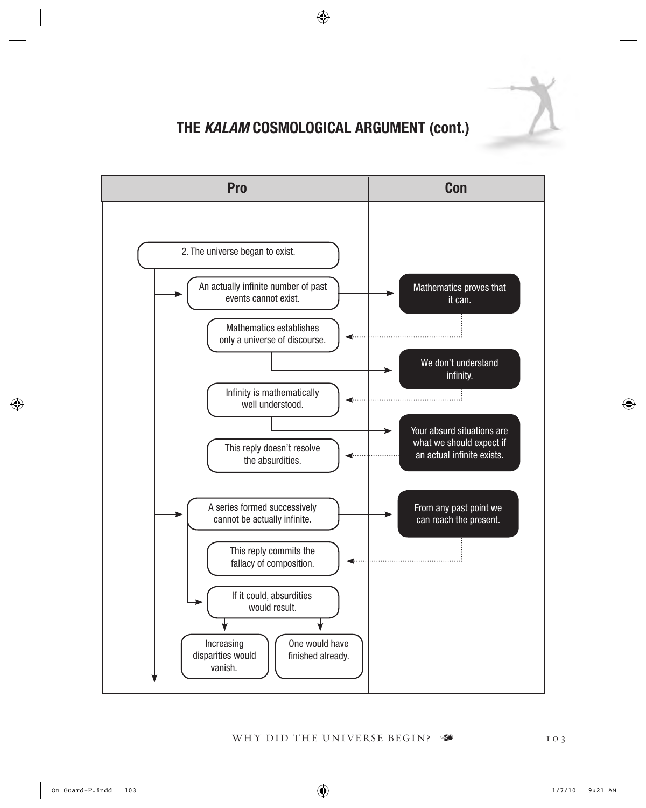

#### THE *KALAM* COSMOLOGICAL ARGUMENT (cont.)

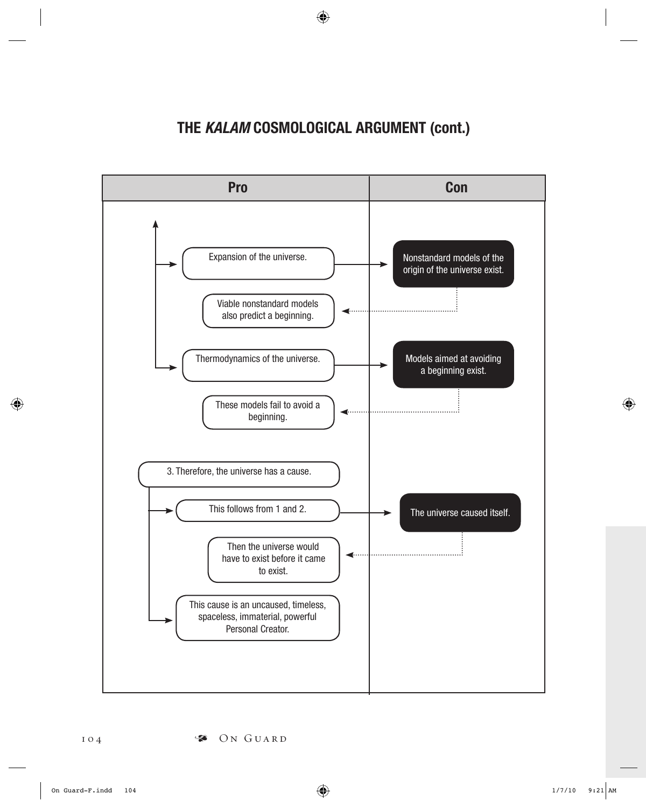# THE *KALAM* COSMOLOGICAL ARGUMENT (cont.)

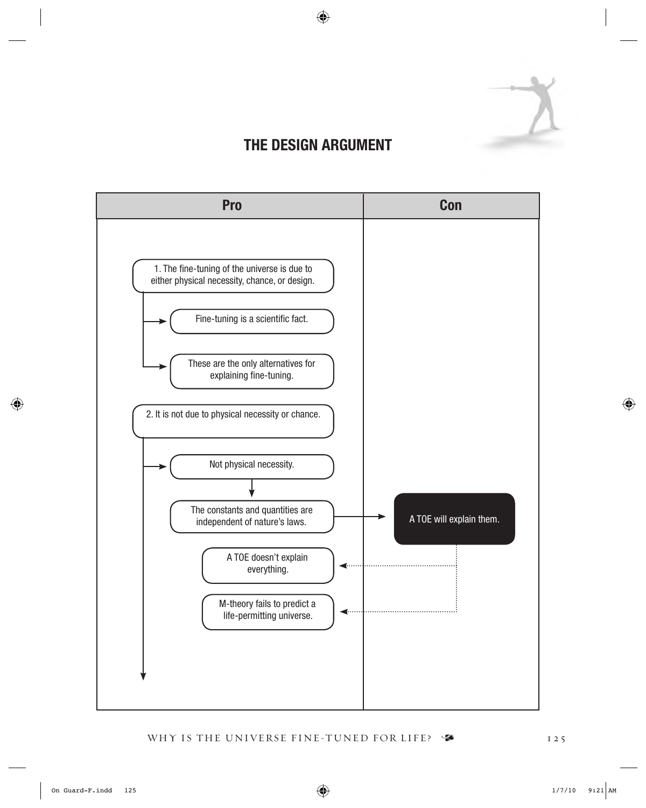

# THE DESIGN ARGUMENT

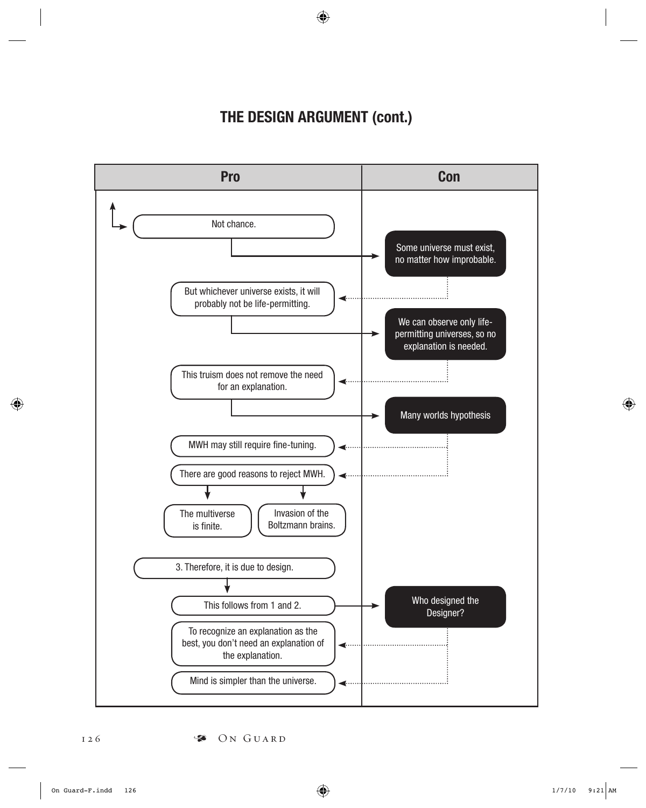# THE DESIGN ARGUMENT (cont.)

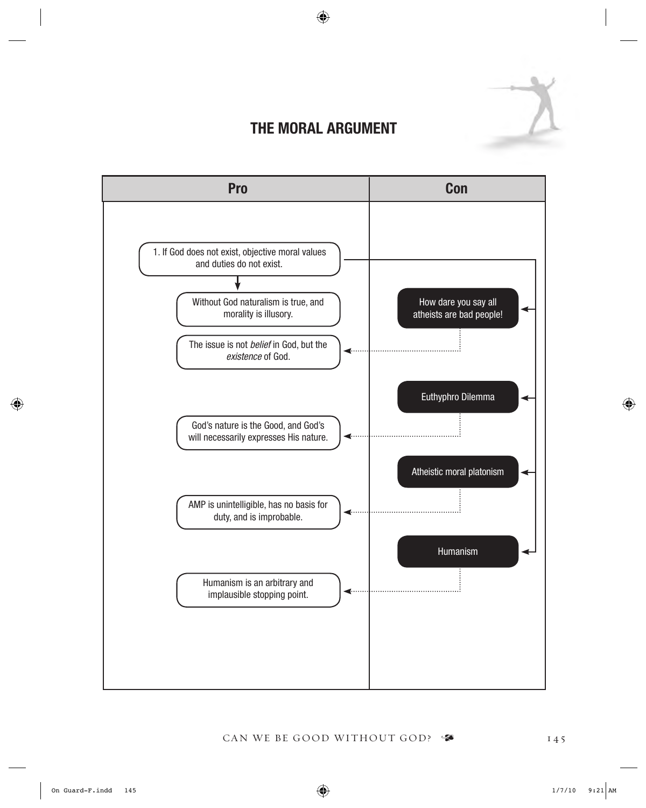# THE MORAL ARGUMENT

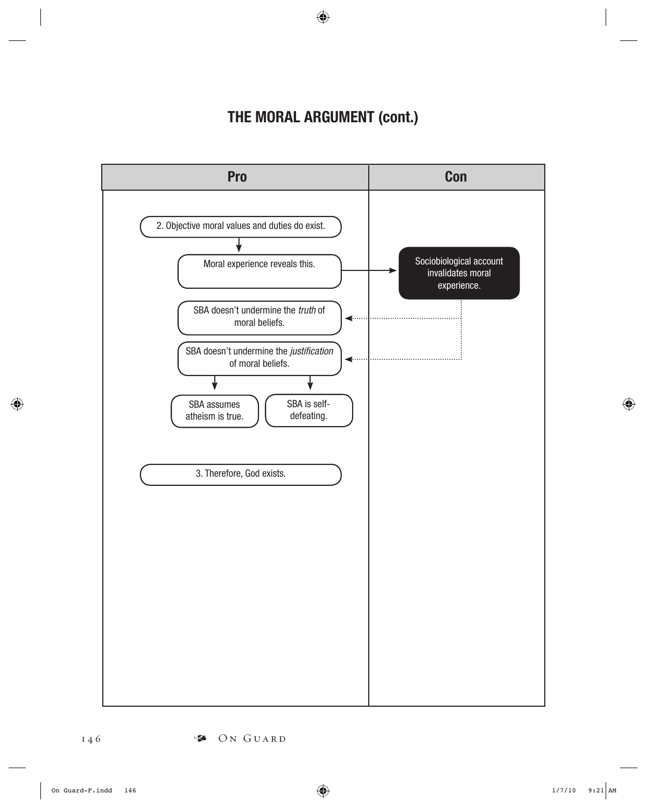# THE MORAL ARGUMENT (cont.)

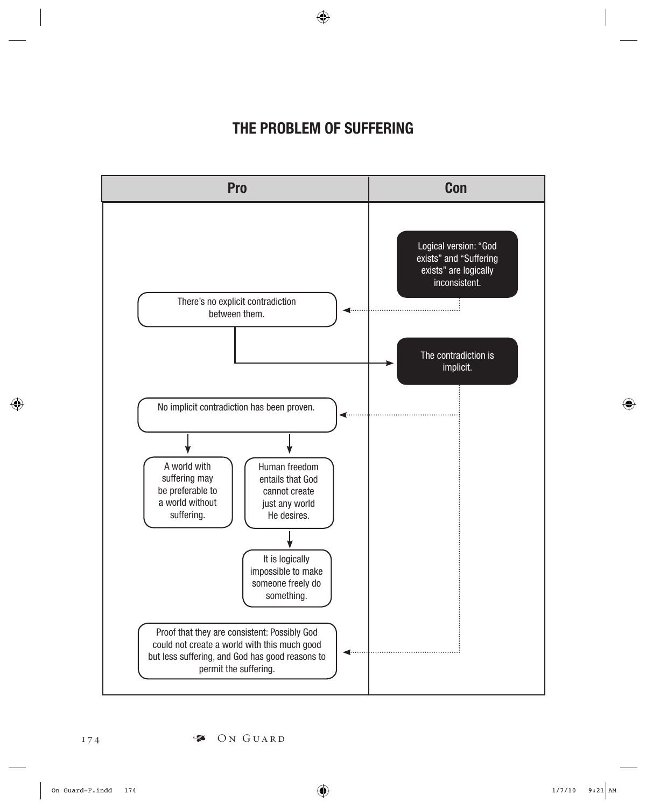#### THE PROBLEM OF SUFFERING

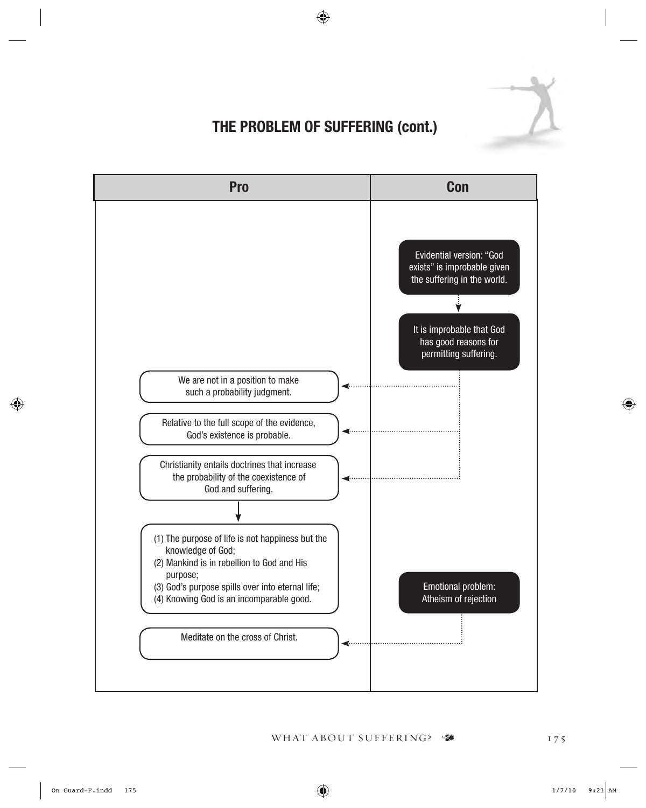

# THE PROBLEM OF SUFFERING (cont.)

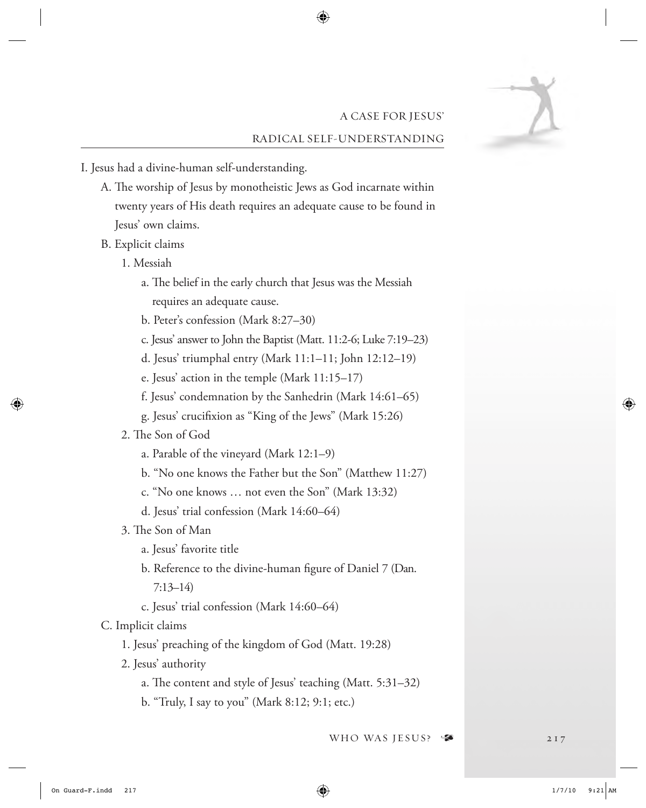#### A CASE FOR JESUS' RADICAL SELF-UNDERSTANDING

- I. Jesus had a divine-human self-understanding.
	- A. The worship of Jesus by monotheistic Jews as God incarnate within twenty years of His death requires an adequate cause to be found in Jesus' own claims.
	- B. Explicit claims
		- 1. Messiah
			- a. The belief in the early church that Jesus was the Messiah requires an adequate cause.
			- b. Peter's confession (Mark 8:27–30)
			- c. Jesus' answer to John the Baptist (Matt. 11:2-6; Luke 7:19–23)
			- d. Jesus' triumphal entry (Mark 11:1–11; John 12:12–19)
			- e. Jesus' action in the temple (Mark 11:15–17)
			- f. Jesus' condemnation by the Sanhedrin (Mark 14:61–65)
			- g. Jesus' crucifxion as "King of the Jews" (Mark 15:26)
		- 2. The Son of God
			- a. Parable of the vineyard (Mark 12:1–9)
			- b. "No one knows the Father but the Son" (Matthew 11:27)
			- c. "No one knows … not even the Son" (Mark 13:32)
			- d. Jesus' trial confession (Mark 14:60–64)
		- 3. The Son of Man
			- a. Jesus' favorite title
			- b. Reference to the divine-human fgure of Daniel 7 (Dan.
				- 7:13–14)
			- c. Jesus' trial confession (Mark 14:60–64)

#### C. Implicit claims

- 1. Jesus' preaching of the kingdom of God (Matt. 19:28)
- 2. Jesus' authority
	- a. The content and style of Jesus' teaching (Matt.  $5:31-32$ )
	- b. "Truly, I say to you" (Mark 8:12; 9:1; etc.)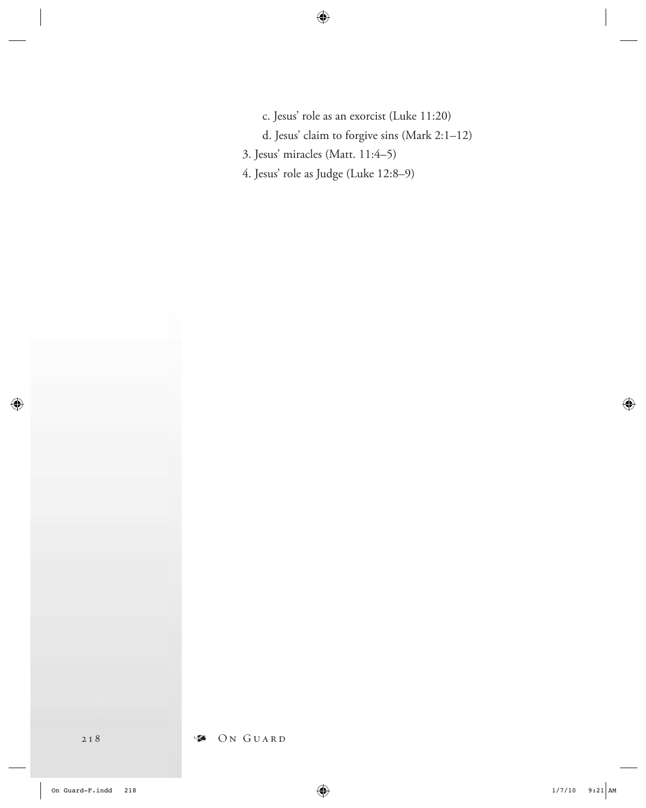- c. Jesus' role as an exorcist (Luke 11:20)
- d. Jesus' claim to forgive sins (Mark 2:1–12)
- 3. Jesus' miracles (Matt. 11:4–5)
- 4. Jesus' role as Judge (Luke 12:8–9)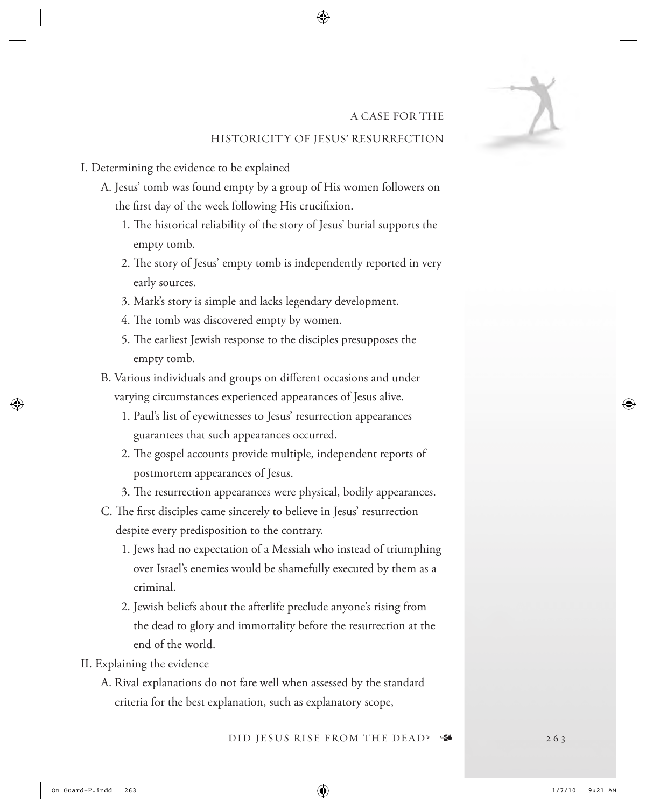#### A CASE FOR THE HISTORICITY OF JESUS' RESURRECTION

- I. Determining the evidence to be explained
	- A. Jesus' tomb was found empty by a group of His women followers on the frst day of the week following His crucifxion.
		- 1. The historical reliability of the story of Jesus' burial supports the empty tomb.
		- 2. The story of Jesus' empty tomb is independently reported in very early sources.
		- 3. Mark's story is simple and lacks legendary development.
		- 4. The tomb was discovered empty by women.
		- 5. The earliest Jewish response to the disciples presupposes the empty tomb.
	- B. Various individuals and groups on diferent occasions and under varying circumstances experienced appearances of Jesus alive.
		- 1. Paul's list of eyewitnesses to Jesus' resurrection appearances guarantees that such appearances occurred.
		- 2. The gospel accounts provide multiple, independent reports of postmortem appearances of Jesus.
		- 3. The resurrection appearances were physical, bodily appearances.
	- C. The first disciples came sincerely to believe in Jesus' resurrection despite every predisposition to the contrary.
		- 1. Jews had no expectation of a Messiah who instead of triumphing over Israel's enemies would be shamefully executed by them as a criminal.
		- 2. Jewish beliefs about the afterlife preclude anyone's rising from the dead to glory and immortality before the resurrection at the end of the world.
- II. Explaining the evidence
	- A. Rival explanations do not fare well when assessed by the standard criteria for the best explanation, such as explanatory scope,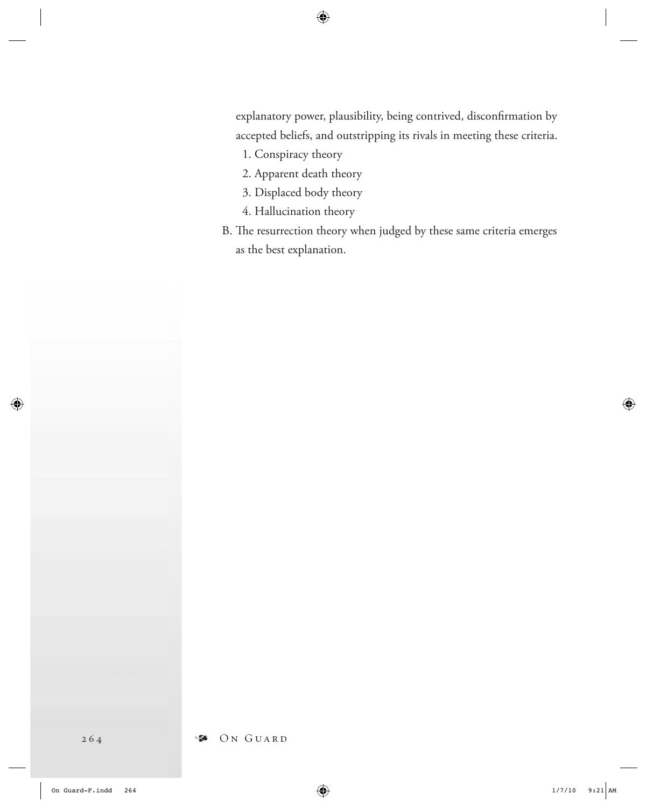explanatory power, plausibility, being contrived, disconfrmation by accepted beliefs, and outstripping its rivals in meeting these criteria.

- 1. Conspiracy theory
- 2. Apparent death theory
- 3. Displaced body theory
- 4. Hallucination theory
- B. The resurrection theory when judged by these same criteria emerges as the best explanation.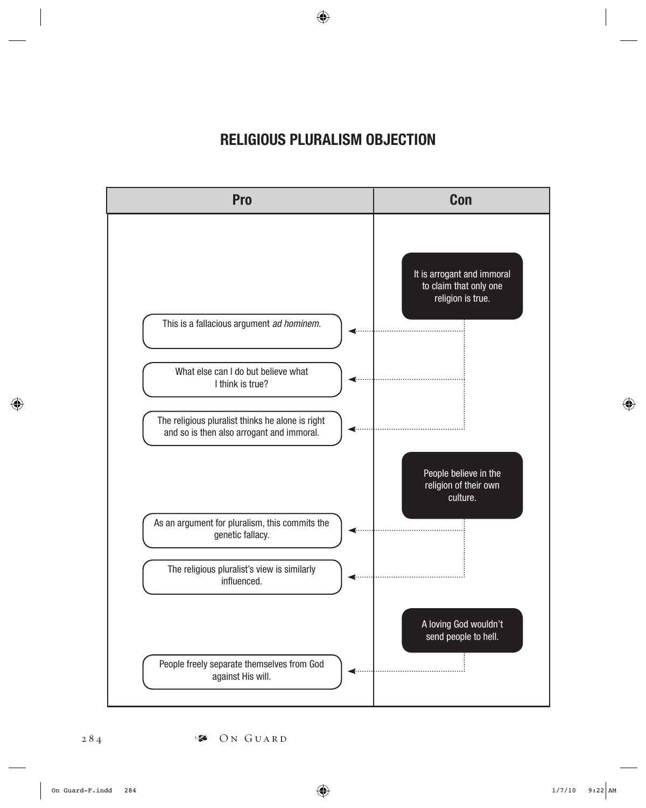## RELIGIOUS PLURALISM OBJECTION

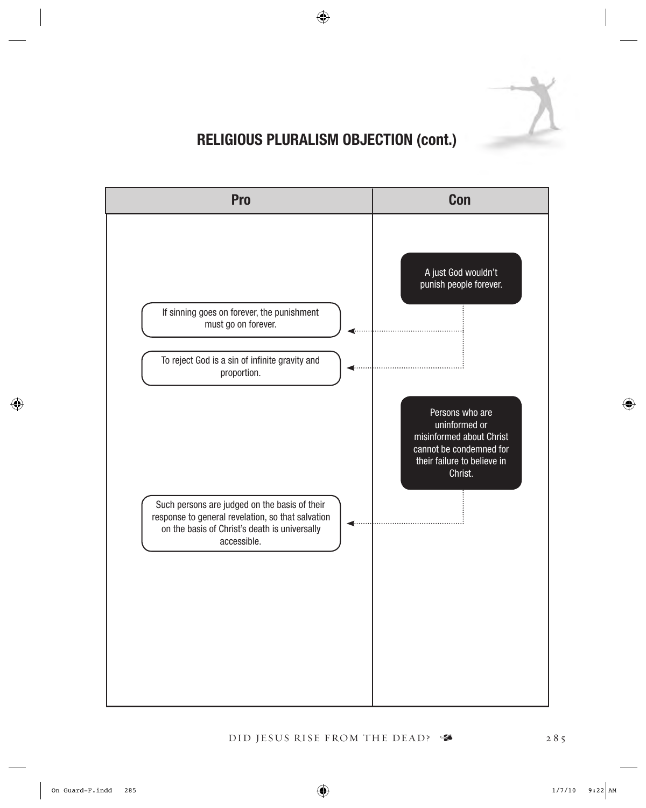

# RELIGIOUS PLURALISM OBJECTION (cont.)